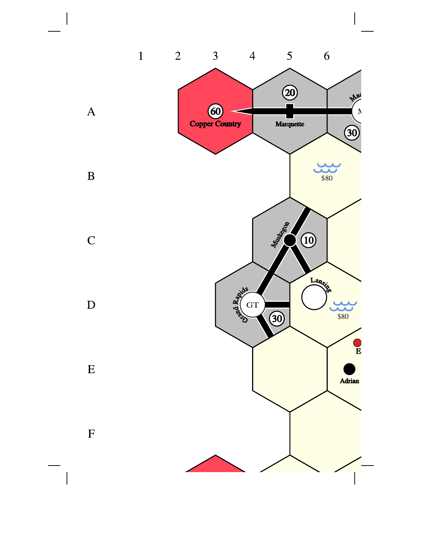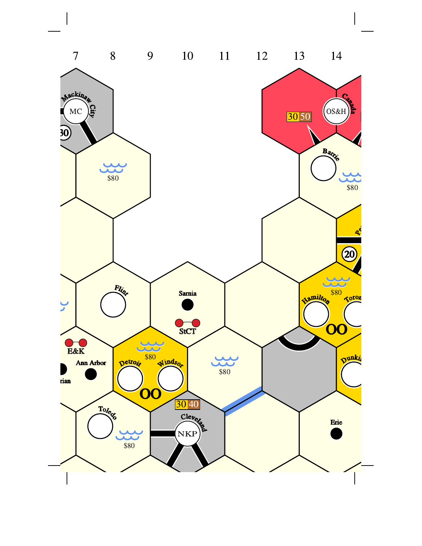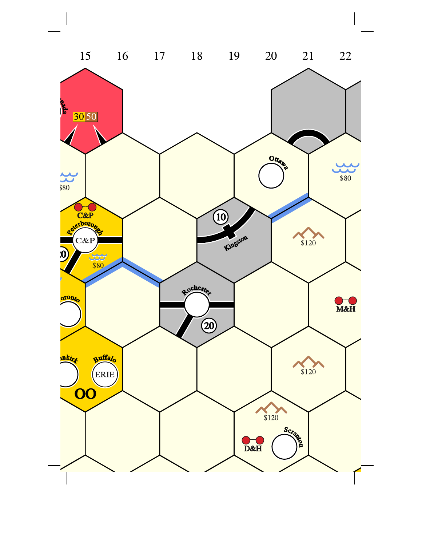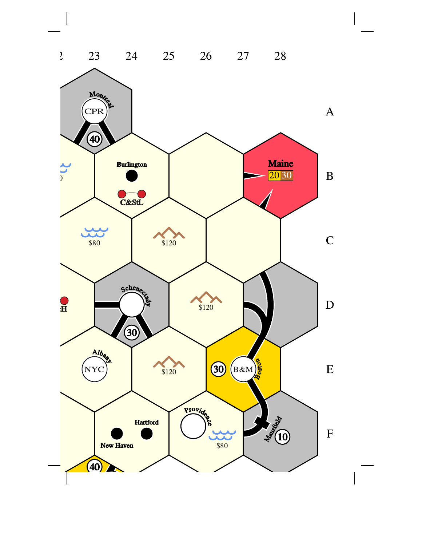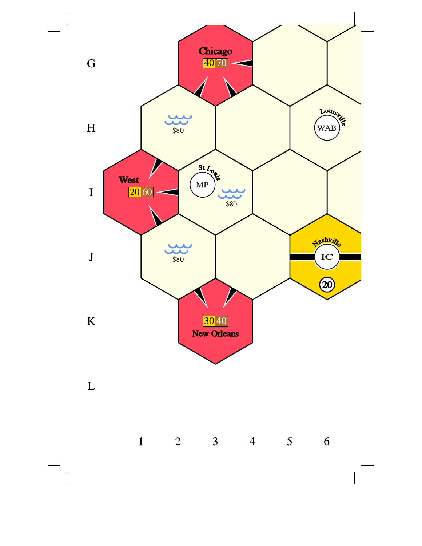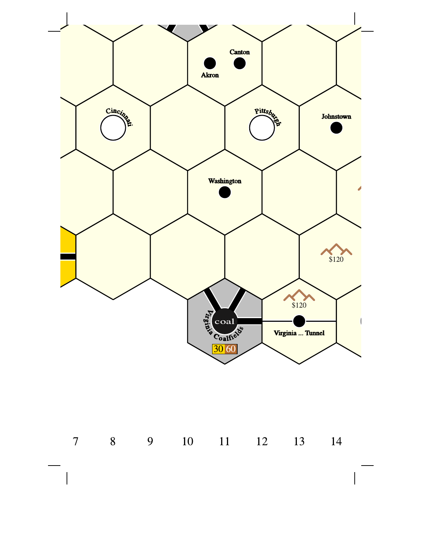

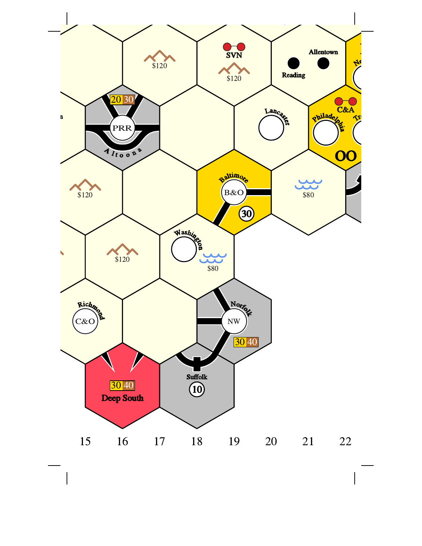